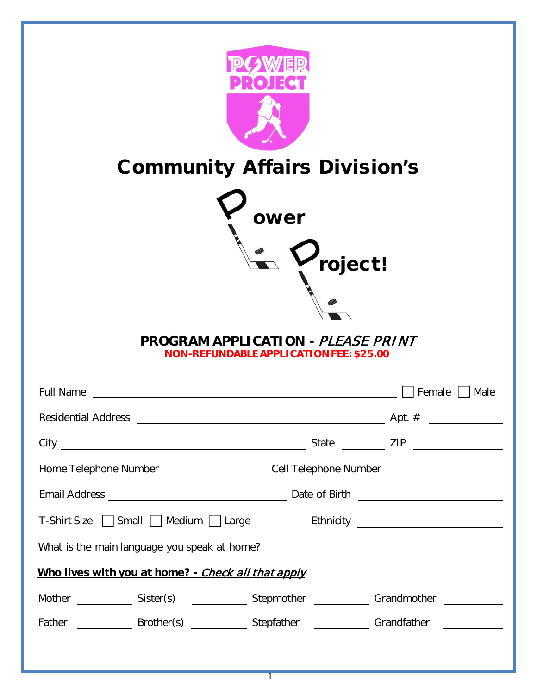|                                                                                                      | <b>Community Affairs Division's</b><br>ower<br>roject!<br><u> PROGRAM APPLICATION - <i>PLEASE PRINT</i></u><br><b>NON-REFUNDABLE APPLICATION FEE: \$25.00</b> |                |
|------------------------------------------------------------------------------------------------------|---------------------------------------------------------------------------------------------------------------------------------------------------------------|----------------|
| <b>Full Name</b>                                                                                     |                                                                                                                                                               | Female<br>Male |
| <b>Residential Address</b>                                                                           |                                                                                                                                                               | Apt. $#$       |
|                                                                                                      |                                                                                                                                                               |                |
| Home Telephone Number _________________________Cell Telephone Number _______________________________ |                                                                                                                                                               |                |
|                                                                                                      |                                                                                                                                                               |                |
| T-Shirt Size Small Medium Large                                                                      |                                                                                                                                                               |                |
| What is the main language you speak at home? ___________________________________                     |                                                                                                                                                               |                |
| Who lives with you at home? - Check all that apply                                                   |                                                                                                                                                               |                |
| Mother _______________ Sister(s) ________________ Stepmother ______________ Grandmother ____________ |                                                                                                                                                               |                |
|                                                                                                      |                                                                                                                                                               |                |
|                                                                                                      | $\overline{1}$                                                                                                                                                |                |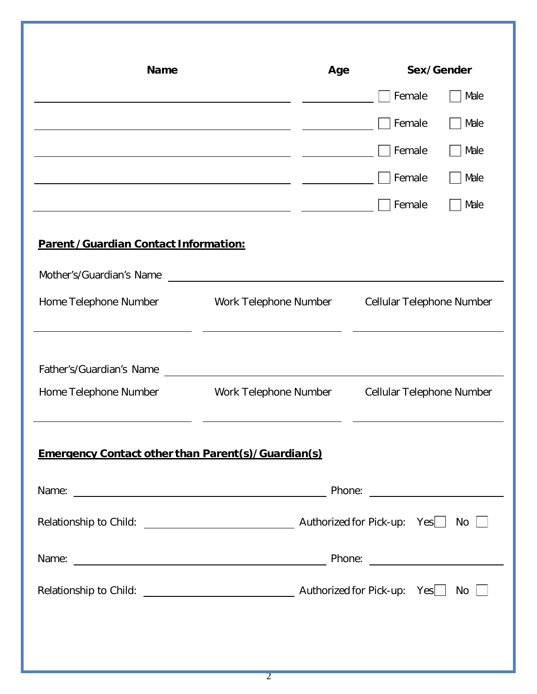| <b>Name</b>                                                |                       | Age |                           | Sex/Gender |
|------------------------------------------------------------|-----------------------|-----|---------------------------|------------|
|                                                            |                       |     | Female                    | Male       |
|                                                            |                       |     | Female                    | Male       |
|                                                            |                       |     | Female                    | Male       |
|                                                            |                       |     | Female                    | Male       |
|                                                            |                       |     | Female                    | Male       |
| <b>Parent /Guardian Contact Information:</b>               |                       |     |                           |            |
| Mother's/Guardian's Name                                   |                       |     |                           |            |
| Home Telephone Number                                      | Work Telephone Number |     | Cellular Telephone Number |            |
| Father's/Guardian's Name                                   |                       |     |                           |            |
| Home Telephone Number                                      | Work Telephone Number |     | Cellular Telephone Number |            |
| <b>Emergency Contact other than Parent (s)/Guardian(s)</b> |                       |     |                           |            |
|                                                            |                       |     |                           |            |
|                                                            |                       |     |                           |            |
|                                                            |                       |     |                           |            |
|                                                            |                       |     |                           |            |
|                                                            |                       |     |                           |            |
|                                                            |                       |     |                           |            |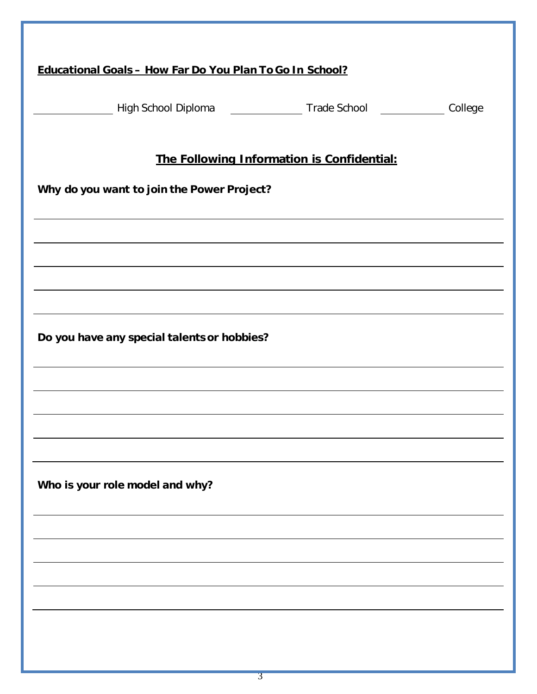| Educational Goals - How Far Do You Plan To Go In School?                                             |
|------------------------------------------------------------------------------------------------------|
|                                                                                                      |
| Migh School Diploma and a member of the College College and High School and Trade School and College |
|                                                                                                      |
| The Following Information is Confidential:                                                           |
| Why do you want to join the Power Project?                                                           |
|                                                                                                      |
| ,我们也不会有什么。""我们的人,我们也不会有什么?""我们的人,我们也不会有什么?""我们的人,我们也不会有什么?""我们的人,我们也不会有什么?""我们的人                     |
|                                                                                                      |
|                                                                                                      |
|                                                                                                      |
| Do you have any special talents or hobbies?                                                          |
|                                                                                                      |
|                                                                                                      |
|                                                                                                      |
|                                                                                                      |
|                                                                                                      |
| Who is your role model and why?                                                                      |
|                                                                                                      |
|                                                                                                      |
|                                                                                                      |
|                                                                                                      |
|                                                                                                      |
|                                                                                                      |
|                                                                                                      |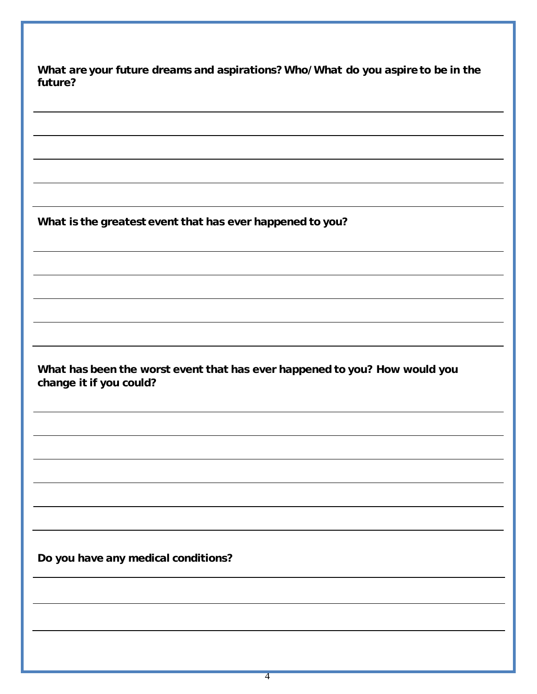| future? | What are your future dreams and aspirations? Who/What do you aspire to be in the                      |
|---------|-------------------------------------------------------------------------------------------------------|
|         |                                                                                                       |
|         |                                                                                                       |
|         | What is the greatest event that has ever happened to you?                                             |
|         |                                                                                                       |
|         |                                                                                                       |
|         | What has been the worst event that has ever happened to you? How would you<br>change it if you could? |
|         |                                                                                                       |
|         |                                                                                                       |
|         |                                                                                                       |
|         | Do you have any medical conditions?                                                                   |
|         |                                                                                                       |